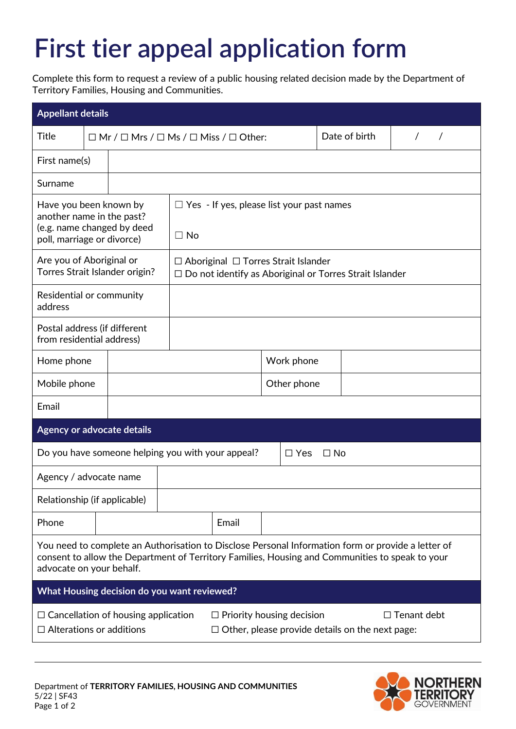## **First tier appeal application form**

Complete this form to request a review of a public housing related decision made by the Department of Territory Families, Housing and Communities.

| <b>Appellant details</b>                                                                                                                                                                                                          |  |                                                                  |                                                                                                                   |             |  |           |               |  |  |
|-----------------------------------------------------------------------------------------------------------------------------------------------------------------------------------------------------------------------------------|--|------------------------------------------------------------------|-------------------------------------------------------------------------------------------------------------------|-------------|--|-----------|---------------|--|--|
| <b>Title</b>                                                                                                                                                                                                                      |  | $\Box$ Mr / $\Box$ Mrs / $\Box$ Ms / $\Box$ Miss / $\Box$ Other: |                                                                                                                   |             |  |           | Date of birth |  |  |
| First name(s)                                                                                                                                                                                                                     |  |                                                                  |                                                                                                                   |             |  |           |               |  |  |
| Surname                                                                                                                                                                                                                           |  |                                                                  |                                                                                                                   |             |  |           |               |  |  |
| Have you been known by<br>another name in the past?<br>(e.g. name changed by deed<br>poll, marriage or divorce)                                                                                                                   |  | $\Box$ Yes - If yes, please list your past names<br>$\Box$ No    |                                                                                                                   |             |  |           |               |  |  |
| Are you of Aboriginal or<br>Torres Strait Islander origin?                                                                                                                                                                        |  |                                                                  | $\Box$ Aboriginal $\Box$ Torres Strait Islander<br>$\Box$ Do not identify as Aboriginal or Torres Strait Islander |             |  |           |               |  |  |
| Residential or community<br>address                                                                                                                                                                                               |  |                                                                  |                                                                                                                   |             |  |           |               |  |  |
| Postal address (if different<br>from residential address)                                                                                                                                                                         |  |                                                                  |                                                                                                                   |             |  |           |               |  |  |
| Home phone                                                                                                                                                                                                                        |  |                                                                  |                                                                                                                   | Work phone  |  |           |               |  |  |
| Mobile phone                                                                                                                                                                                                                      |  |                                                                  |                                                                                                                   | Other phone |  |           |               |  |  |
| Email                                                                                                                                                                                                                             |  |                                                                  |                                                                                                                   |             |  |           |               |  |  |
| Agency or advocate details                                                                                                                                                                                                        |  |                                                                  |                                                                                                                   |             |  |           |               |  |  |
|                                                                                                                                                                                                                                   |  |                                                                  | Do you have someone helping you with your appeal?<br>$\Box$ Yes                                                   |             |  | $\Box$ No |               |  |  |
| Agency / advocate name                                                                                                                                                                                                            |  |                                                                  |                                                                                                                   |             |  |           |               |  |  |
| Relationship (if applicable)                                                                                                                                                                                                      |  |                                                                  |                                                                                                                   |             |  |           |               |  |  |
| Phone                                                                                                                                                                                                                             |  |                                                                  |                                                                                                                   | Email       |  |           |               |  |  |
| You need to complete an Authorisation to Disclose Personal Information form or provide a letter of<br>consent to allow the Department of Territory Families, Housing and Communities to speak to your<br>advocate on your behalf. |  |                                                                  |                                                                                                                   |             |  |           |               |  |  |
| What Housing decision do you want reviewed?                                                                                                                                                                                       |  |                                                                  |                                                                                                                   |             |  |           |               |  |  |
| $\Box$ Cancellation of housing application<br>$\Box$ Priority housing decision<br>$\Box$ Tenant debt<br>$\Box$ Alterations or additions<br>$\Box$ Other, please provide details on the next page:                                 |  |                                                                  |                                                                                                                   |             |  |           |               |  |  |